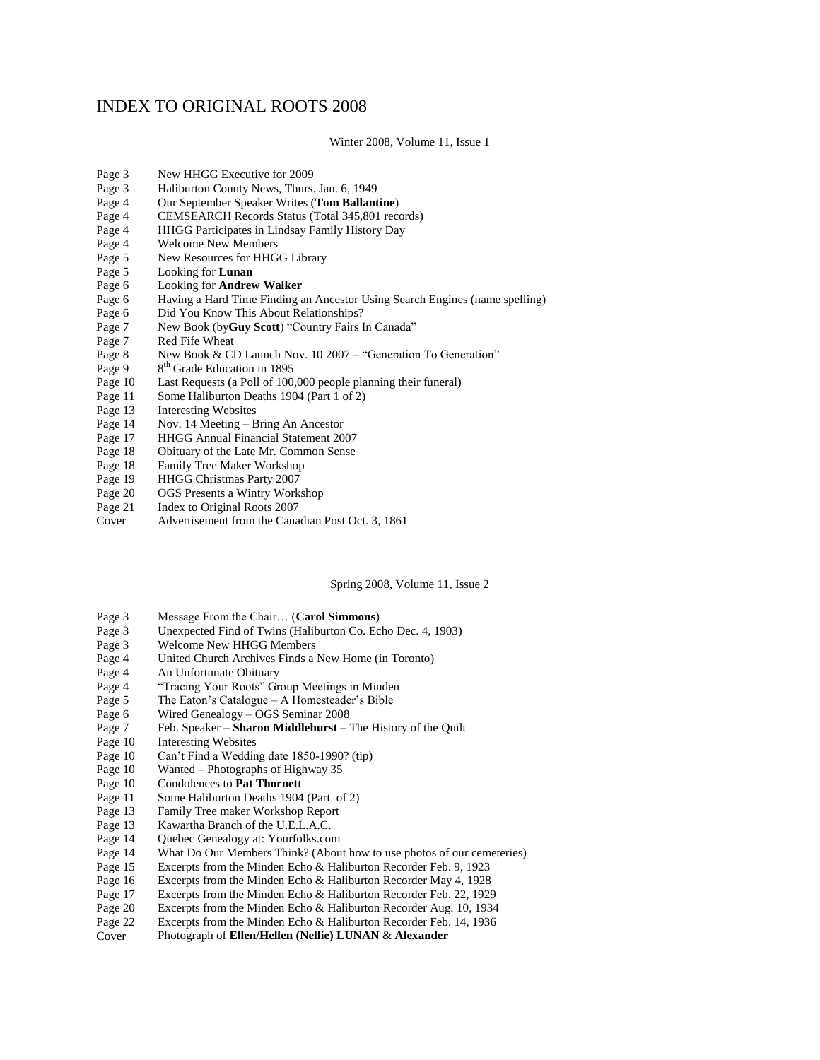## INDEX TO ORIGINAL ROOTS 2008

Winter 2008, Volume 11, Issue 1

- Page 3 New HHGG Executive for 2009
- Page 3 Haliburton County News, Thurs. Jan. 6, 1949
- Page 4 Our September Speaker Writes (**Tom Ballantine**)
- Page 4 CEMSEARCH Records Status (Total 345,801 records)
- Page 4 HHGG Participates in Lindsay Family History Day
- Page 4 Welcome New Members
- Page 5 New Resources for HHGG Library
- Page 5 Looking for **Lunan**
- Page 6 Looking for **Andrew Walker**
- Page 6 Having a Hard Time Finding an Ancestor Using Search Engines (name spelling)
- Did You Know This About Relationships?
- Page 7 New Book (by**Guy Scott**) "Country Fairs In Canada"
- Page 7 Red Fife Wheat
- Page 8 New Book & CD Launch Nov. 10 2007 "Generation To Generation"
- Page 9 8<sup>th</sup> Grade Education in 1895
- Page 10 Last Requests (a Poll of 100,000 people planning their funeral)<br>Page 11 Some Haliburton Deaths 1904 (Part 1 of 2)
- Page 11 Some Haliburton Deaths 1904 (Part 1 of 2)<br>Page 13 Interesting Websites
- **Interesting Websites**
- Page 14 Nov. 14 Meeting Bring An Ancestor
- Page 17 HHGG Annual Financial Statement 2007
- Page 18 Obituary of the Late Mr. Common Sense
- Page 18 Family Tree Maker Workshop
- Page 19 HHGG Christmas Party 2007<br>Page 20 OGS Presents a Wintry Works
- Page 20 OGS Presents a Wintry Workshop<br>Page 21 Index to Original Roots 2007
- Index to Original Roots 2007
- Cover Advertisement from the Canadian Post Oct. 3, 1861

Spring 2008, Volume 11, Issue 2

- 
- Page 3 Message From the Chair… (**Carol Simmons**) Page 3 Unexpected Find of Twins (Haliburton Co. Echo Dec. 4, 1903)<br>Page 3 Welcome New HHGG Members
- Welcome New HHGG Members
- Page 4 United Church Archives Finds a New Home (in Toronto)
- Page 4 An Unfortunate Obituary
- Page 4 "Tracing Your Roots" Group Meetings in Minden
- Page 5 The Eaton's Catalogue A Homesteader's Bible<br>Page 6 Wired Genealogy OGS Seminar 2008
- Wired Genealogy OGS Seminar 2008
- Page 7 Feb. Speaker **Sharon Middlehurst** The History of the Quilt
- Page 10 Interesting Websites
- Page 10 Can't Find a Wedding date 1850-1990? (tip)
- Page 10 Wanted Photographs of Highway 35<br>Page 10 Condolences to **Pat Thornett**
- **Condolences to Pat Thornett**
- Page 11 Some Haliburton Deaths 1904 (Part of 2)
- Page 13 Family Tree maker Workshop Report
- Page 13 Kawartha Branch of the U.E.L.A.C.<br>Page 14 Quebec Genealogy at: Yourfolks.com
- Quebec Genealogy at: Yourfolks.com
- Page 14 What Do Our Members Think? (About how to use photos of our cemeteries)
- Page 15 Excerpts from the Minden Echo & Haliburton Recorder Feb. 9, 1923
- Page 16 Excerpts from the Minden Echo & Haliburton Recorder May 4, 1928
- Page 17 Excerpts from the Minden Echo & Haliburton Recorder Feb. 22, 1929
- Page 20 Excerpts from the Minden Echo & Haliburton Recorder Aug. 10, 1934
- Page 22 Excerpts from the Minden Echo & Haliburton Recorder Feb. 14, 1936
- Cover Photograph of **Ellen/Hellen (Nellie) LUNAN** & **Alexander**